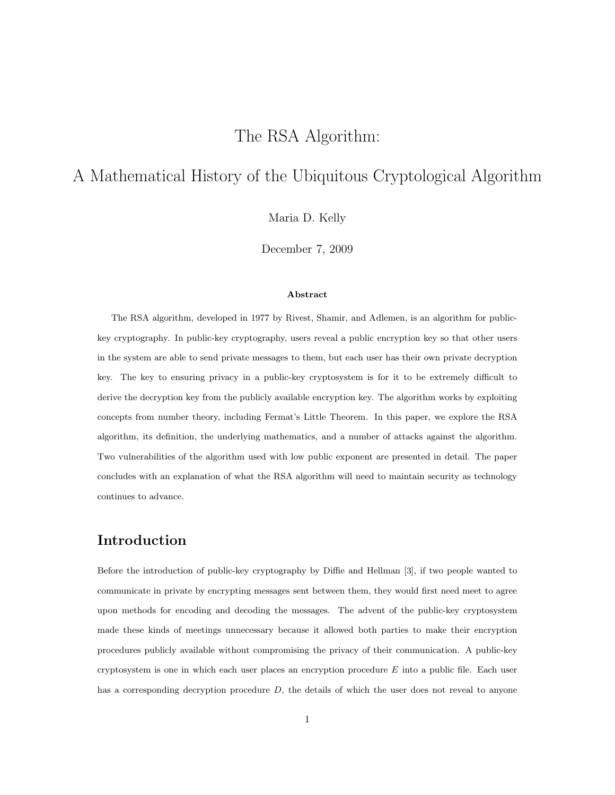# The RSA Algorithm:

# A Mathematical History of the Ubiquitous Cryptological Algorithm

Maria D. Kelly

December 7, 2009

### Abstract

The RSA algorithm, developed in 1977 by Rivest, Shamir, and Adlemen, is an algorithm for publickey cryptography. In public-key cryptography, users reveal a public encryption key so that other users in the system are able to send private messages to them, but each user has their own private decryption key. The key to ensuring privacy in a public-key cryptosystem is for it to be extremely difficult to derive the decryption key from the publicly available encryption key. The algorithm works by exploiting concepts from number theory, including Fermat's Little Theorem. In this paper, we explore the RSA algorithm, its definition, the underlying mathematics, and a number of attacks against the algorithm. Two vulnerabilities of the algorithm used with low public exponent are presented in detail. The paper concludes with an explanation of what the RSA algorithm will need to maintain security as technology continues to advance.

## Introduction

Before the introduction of public-key cryptography by Diffie and Hellman [3], if two people wanted to communicate in private by encrypting messages sent between them, they would first need meet to agree upon methods for encoding and decoding the messages. The advent of the public-key cryptosystem made these kinds of meetings unnecessary because it allowed both parties to make their encryption procedures publicly available without compromising the privacy of their communication. A public-key cryptosystem is one in which each user places an encryption procedure  $E$  into a public file. Each user has a corresponding decryption procedure  $D$ , the details of which the user does not reveal to anyone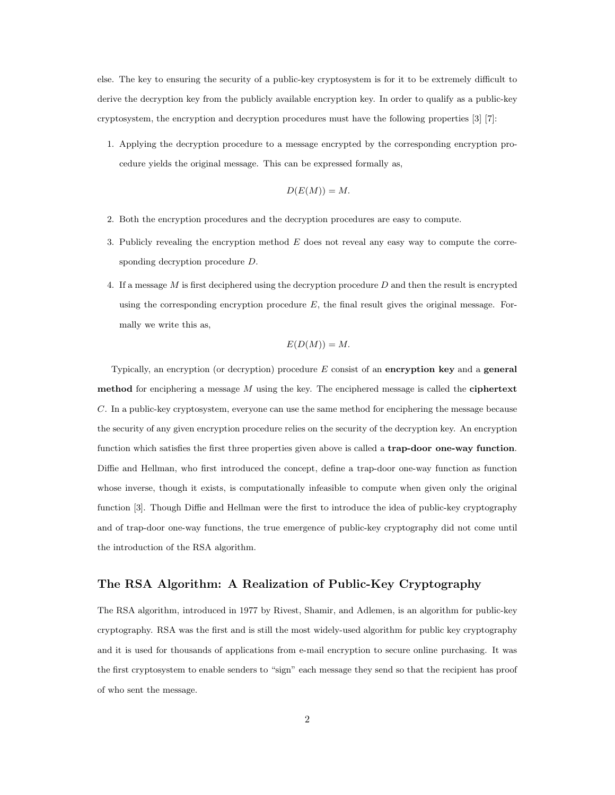else. The key to ensuring the security of a public-key cryptosystem is for it to be extremely difficult to derive the decryption key from the publicly available encryption key. In order to qualify as a public-key cryptosystem, the encryption and decryption procedures must have the following properties [3] [7]:

1. Applying the decryption procedure to a message encrypted by the corresponding encryption procedure yields the original message. This can be expressed formally as,

$$
D(E(M)) = M.
$$

- 2. Both the encryption procedures and the decryption procedures are easy to compute.
- 3. Publicly revealing the encryption method  $E$  does not reveal any easy way to compute the corresponding decryption procedure D.
- 4. If a message M is first deciphered using the decryption procedure D and then the result is encrypted using the corresponding encryption procedure  $E$ , the final result gives the original message. Formally we write this as,

$$
E(D(M)) = M.
$$

Typically, an encryption (or decryption) procedure  $E$  consist of an encryption key and a general method for enciphering a message  $M$  using the key. The enciphered message is called the ciphertext C. In a public-key cryptosystem, everyone can use the same method for enciphering the message because the security of any given encryption procedure relies on the security of the decryption key. An encryption function which satisfies the first three properties given above is called a trap-door one-way function. Diffie and Hellman, who first introduced the concept, define a trap-door one-way function as function whose inverse, though it exists, is computationally infeasible to compute when given only the original function [3]. Though Diffie and Hellman were the first to introduce the idea of public-key cryptography and of trap-door one-way functions, the true emergence of public-key cryptography did not come until the introduction of the RSA algorithm.

### The RSA Algorithm: A Realization of Public-Key Cryptography

The RSA algorithm, introduced in 1977 by Rivest, Shamir, and Adlemen, is an algorithm for public-key cryptography. RSA was the first and is still the most widely-used algorithm for public key cryptography and it is used for thousands of applications from e-mail encryption to secure online purchasing. It was the first cryptosystem to enable senders to "sign" each message they send so that the recipient has proof of who sent the message.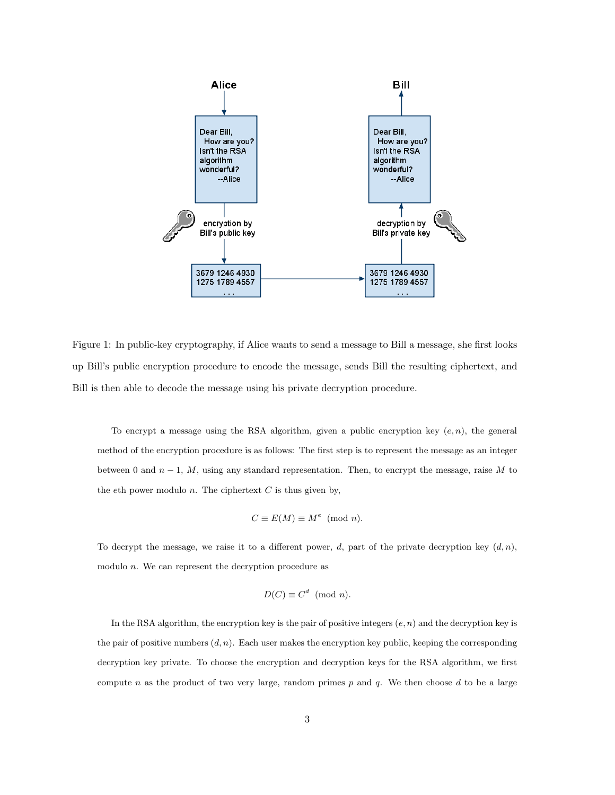

Figure 1: In public-key cryptography, if Alice wants to send a message to Bill a message, she first looks up Bill's public encryption procedure to encode the message, sends Bill the resulting ciphertext, and Bill is then able to decode the message using his private decryption procedure.

To encrypt a message using the RSA algorithm, given a public encryption key  $(e, n)$ , the general method of the encryption procedure is as follows: The first step is to represent the message as an integer between 0 and  $n-1$ , M, using any standard representation. Then, to encrypt the message, raise M to the eth power modulo  $n$ . The ciphertext  $C$  is thus given by,

$$
C \equiv E(M) \equiv M^e \pmod{n}.
$$

To decrypt the message, we raise it to a different power, d, part of the private decryption key  $(d, n)$ , modulo  $n$ . We can represent the decryption procedure as

$$
D(C) \equiv C^d \pmod{n}.
$$

In the RSA algorithm, the encryption key is the pair of positive integers  $(e, n)$  and the decryption key is the pair of positive numbers  $(d, n)$ . Each user makes the encryption key public, keeping the corresponding decryption key private. To choose the encryption and decryption keys for the RSA algorithm, we first compute n as the product of two very large, random primes  $p$  and  $q$ . We then choose  $d$  to be a large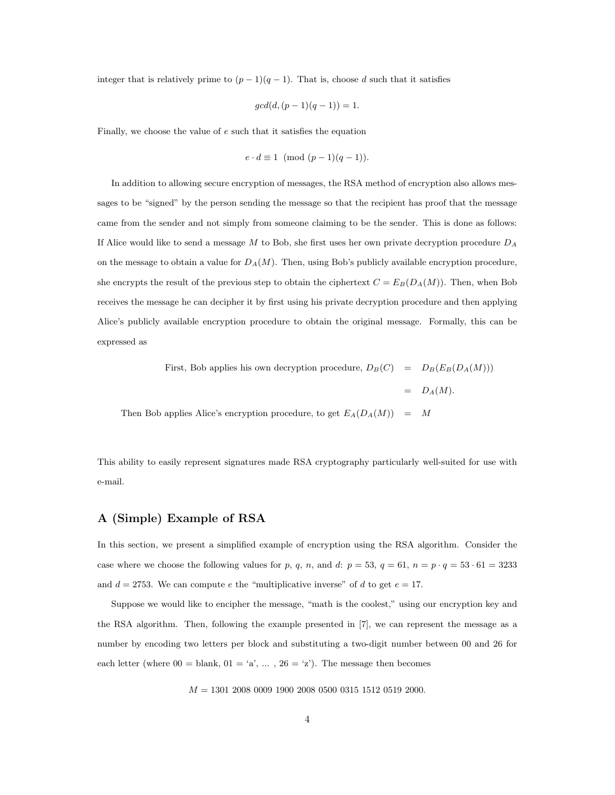integer that is relatively prime to  $(p-1)(q-1)$ . That is, choose d such that it satisfies

$$
gcd(d, (p-1)(q-1)) = 1.
$$

Finally, we choose the value of e such that it satisfies the equation

$$
e \cdot d \equiv 1 \pmod{(p-1)(q-1)}.
$$

In addition to allowing secure encryption of messages, the RSA method of encryption also allows messages to be "signed" by the person sending the message so that the recipient has proof that the message came from the sender and not simply from someone claiming to be the sender. This is done as follows: If Alice would like to send a message  $M$  to Bob, she first uses her own private decryption procedure  $D_A$ on the message to obtain a value for  $D_A(M)$ . Then, using Bob's publicly available encryption procedure, she encrypts the result of the previous step to obtain the ciphertext  $C = E_B(D_A(M))$ . Then, when Bob receives the message he can decipher it by first using his private decryption procedure and then applying Alice's publicly available encryption procedure to obtain the original message. Formally, this can be expressed as

> First, Bob applies his own decryption procedure,  $D_B(C) = D_B(E_B(D_A(M)))$  $= D_A(M).$

Then Bob applies Alice's encryption procedure, to get  $E_A(D_A(M)) = M$ 

This ability to easily represent signatures made RSA cryptography particularly well-suited for use with e-mail.

### A (Simple) Example of RSA

In this section, we present a simplified example of encryption using the RSA algorithm. Consider the case where we choose the following values for p, q, n, and d:  $p = 53$ ,  $q = 61$ ,  $n = p \cdot q = 53 \cdot 61 = 3233$ and  $d = 2753$ . We can compute e the "multiplicative inverse" of d to get  $e = 17$ .

Suppose we would like to encipher the message, "math is the coolest," using our encryption key and the RSA algorithm. Then, following the example presented in [7], we can represent the message as a number by encoding two letters per block and substituting a two-digit number between 00 and 26 for each letter (where  $00 =$  blank,  $01 = 'a', \ldots, 26 = 'z'$ ). The message then becomes

 $M = 1301 2008 0009 1900 2008 0500 0315 1512 0519 2000.$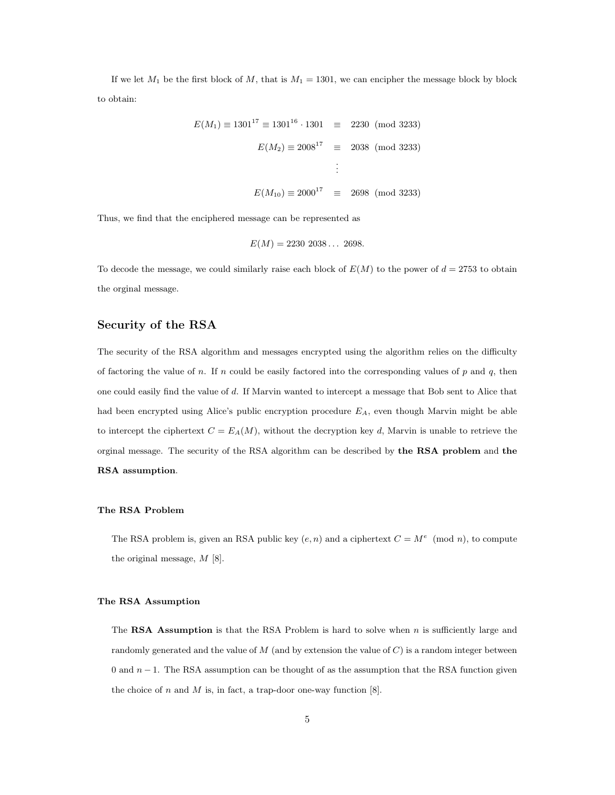If we let  $M_1$  be the first block of M, that is  $M_1 = 1301$ , we can encipher the message block by block to obtain:

$$
E(M_1) \equiv 1301^{17} \equiv 1301^{16} \cdot 1301 \equiv 2230 \pmod{3233}
$$

$$
E(M_2) \equiv 2008^{17} \equiv 2038 \pmod{3233}
$$

$$
\vdots
$$

$$
E(M_{10}) \equiv 2000^{17} \equiv 2698 \pmod{3233}
$$

Thus, we find that the enciphered message can be represented as

$$
E(M) = 2230\ 2038\ldots\ 2698.
$$

To decode the message, we could similarly raise each block of  $E(M)$  to the power of  $d = 2753$  to obtain the orginal message.

### Security of the RSA

The security of the RSA algorithm and messages encrypted using the algorithm relies on the difficulty of factoring the value of n. If n could be easily factored into the corresponding values of p and  $q$ , then one could easily find the value of d. If Marvin wanted to intercept a message that Bob sent to Alice that had been encrypted using Alice's public encryption procedure  $E_A$ , even though Marvin might be able to intercept the ciphertext  $C = E_A(M)$ , without the decryption key d, Marvin is unable to retrieve the orginal message. The security of the RSA algorithm can be described by the RSA problem and the RSA assumption.

#### The RSA Problem

The RSA problem is, given an RSA public key  $(e, n)$  and a ciphertext  $C = M^e \pmod{n}$ , to compute the original message, M [8].

#### The RSA Assumption

The RSA Assumption is that the RSA Problem is hard to solve when  $n$  is sufficiently large and randomly generated and the value of  $M$  (and by extension the value of  $C$ ) is a random integer between 0 and  $n-1$ . The RSA assumption can be thought of as the assumption that the RSA function given the choice of  $n$  and  $M$  is, in fact, a trap-door one-way function [8].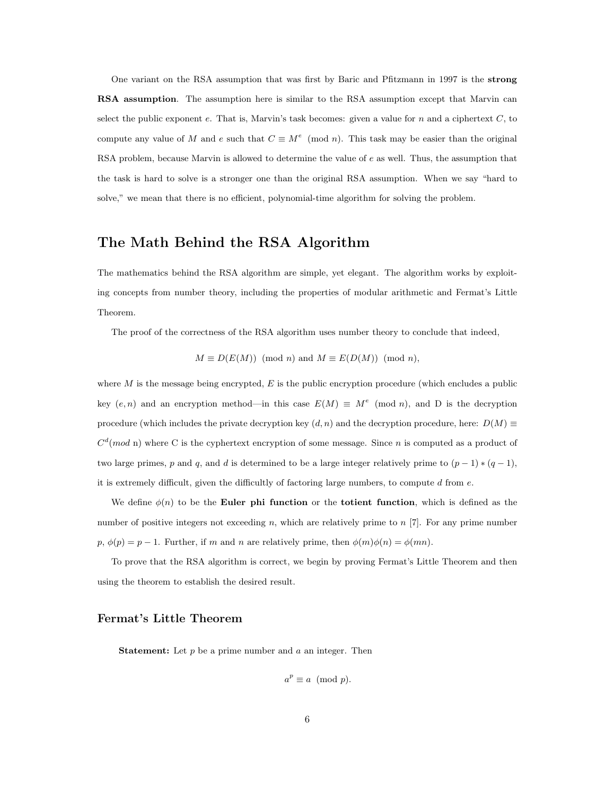One variant on the RSA assumption that was first by Baric and Pfitzmann in 1997 is the strong RSA assumption. The assumption here is similar to the RSA assumption except that Marvin can select the public exponent e. That is, Marvin's task becomes: given a value for  $n$  and a ciphertext  $C$ , to compute any value of M and e such that  $C \equiv M^e \pmod{n}$ . This task may be easier than the original RSA problem, because Marvin is allowed to determine the value of e as well. Thus, the assumption that the task is hard to solve is a stronger one than the original RSA assumption. When we say "hard to solve," we mean that there is no efficient, polynomial-time algorithm for solving the problem.

## The Math Behind the RSA Algorithm

The mathematics behind the RSA algorithm are simple, yet elegant. The algorithm works by exploiting concepts from number theory, including the properties of modular arithmetic and Fermat's Little Theorem.

The proof of the correctness of the RSA algorithm uses number theory to conclude that indeed,

$$
M \equiv D(E(M)) \pmod{n}
$$
 and  $M \equiv E(D(M)) \pmod{n}$ ,

where M is the message being encrypted,  $E$  is the public encryption procedure (which encludes a public key  $(e, n)$  and an encryption method—in this case  $E(M) \equiv M^e \pmod{n}$ , and D is the decryption procedure (which includes the private decryption key  $(d, n)$  and the decryption procedure, here:  $D(M) \equiv$  $C<sup>d</sup>(mod n)$  where C is the cyphertext encryption of some message. Since n is computed as a product of two large primes, p and q, and d is determined to be a large integer relatively prime to  $(p-1) * (q-1)$ , it is extremely difficult, given the difficultly of factoring large numbers, to compute  $d$  from  $e$ .

We define  $\phi(n)$  to be the **Euler phi function** or the **totient function**, which is defined as the number of positive integers not exceeding  $n$ , which are relatively prime to  $n$  [7]. For any prime number  $p, \phi(p) = p - 1$ . Further, if m and n are relatively prime, then  $\phi(m)\phi(n) = \phi(mn)$ .

To prove that the RSA algorithm is correct, we begin by proving Fermat's Little Theorem and then using the theorem to establish the desired result.

### Fermat's Little Theorem

**Statement:** Let  $p$  be a prime number and  $a$  an integer. Then

$$
a^p \equiv a \pmod{p}.
$$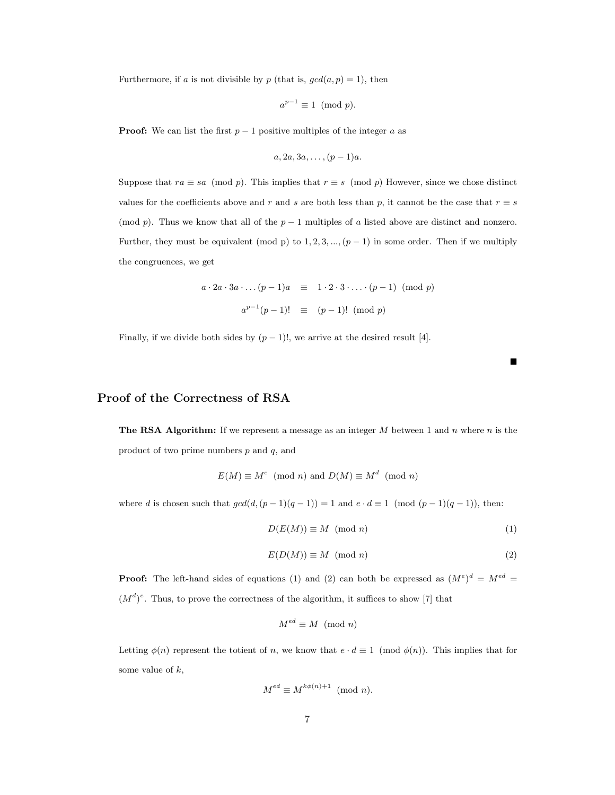Furthermore, if a is not divisible by p (that is,  $gcd(a, p) = 1$ ), then

$$
a^{p-1} \equiv 1 \pmod{p}.
$$

**Proof:** We can list the first  $p-1$  positive multiples of the integer a as

$$
a, 2a, 3a, \ldots, (p-1)a.
$$

Suppose that  $ra \equiv sa \pmod{p}$ . This implies that  $r \equiv s \pmod{p}$  However, since we chose distinct values for the coefficients above and r and s are both less than p, it cannot be the case that  $r \equiv s$ (mod p). Thus we know that all of the  $p-1$  multiples of a listed above are distinct and nonzero. Further, they must be equivalent (mod p) to  $1, 2, 3, ..., (p-1)$  in some order. Then if we multiply the congruences, we get

$$
a \cdot 2a \cdot 3a \cdot \ldots (p-1)a \equiv 1 \cdot 2 \cdot 3 \cdot \ldots \cdot (p-1) \pmod{p}
$$

$$
a^{p-1}(p-1)! \equiv (p-1)! \pmod{p}
$$

Finally, if we divide both sides by  $(p-1)!$ , we arrive at the desired result [4].

### Proof of the Correctness of RSA

**The RSA Algorithm:** If we represent a message as an integer  $M$  between 1 and  $n$  where  $n$  is the product of two prime numbers  $p$  and  $q$ , and

$$
E(M) \equiv M^e \pmod{n}
$$
 and  $D(M) \equiv M^d \pmod{n}$ 

where d is chosen such that  $gcd(d, (p-1)(q-1)) = 1$  and  $e \cdot d \equiv 1 \pmod{(p-1)(q-1)}$ , then:

$$
D(E(M)) \equiv M \pmod{n} \tag{1}
$$

П

$$
E(D(M)) \equiv M \pmod{n} \tag{2}
$$

**Proof:** The left-hand sides of equations (1) and (2) can both be expressed as  $(M<sup>e</sup>)<sup>d</sup> = M<sup>ed</sup> =$  $(M<sup>d</sup>)<sup>e</sup>$ . Thus, to prove the correctness of the algorithm, it suffices to show [7] that

$$
M^{ed} \equiv M \pmod{n}
$$

Letting  $\phi(n)$  represent the totient of n, we know that  $e \cdot d \equiv 1 \pmod{\phi(n)}$ . This implies that for some value of  $k$ ,

$$
M^{ed} \equiv M^{k\phi(n)+1} \pmod{n}.
$$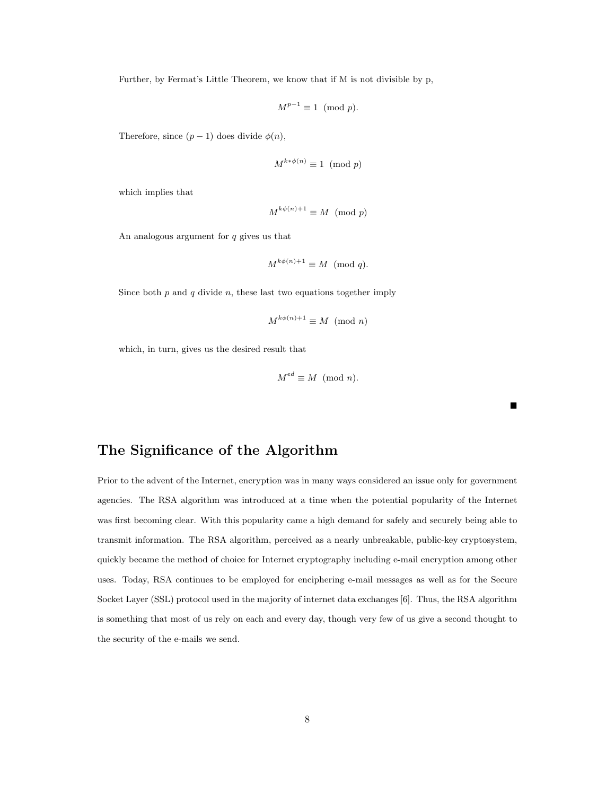Further, by Fermat's Little Theorem, we know that if M is not divisible by p,

$$
M^{p-1} \equiv 1 \pmod{p}.
$$

Therefore, since  $(p-1)$  does divide  $\phi(n)$ ,

$$
M^{k * \phi(n)} \equiv 1 \pmod{p}
$$

which implies that

$$
M^{k\phi(n)+1} \equiv M \pmod{p}
$$

An analogous argument for  $q$  gives us that

$$
M^{k\phi(n)+1} \equiv M \pmod{q}.
$$

Since both  $p$  and  $q$  divide  $n$ , these last two equations together imply

$$
M^{k\phi(n)+1} \equiv M \pmod{n}
$$

which, in turn, gives us the desired result that

$$
M^{ed} \equiv M \pmod{n}.
$$

 $\blacksquare$ 

## The Significance of the Algorithm

Prior to the advent of the Internet, encryption was in many ways considered an issue only for government agencies. The RSA algorithm was introduced at a time when the potential popularity of the Internet was first becoming clear. With this popularity came a high demand for safely and securely being able to transmit information. The RSA algorithm, perceived as a nearly unbreakable, public-key cryptosystem, quickly became the method of choice for Internet cryptography including e-mail encryption among other uses. Today, RSA continues to be employed for enciphering e-mail messages as well as for the Secure Socket Layer (SSL) protocol used in the majority of internet data exchanges [6]. Thus, the RSA algorithm is something that most of us rely on each and every day, though very few of us give a second thought to the security of the e-mails we send.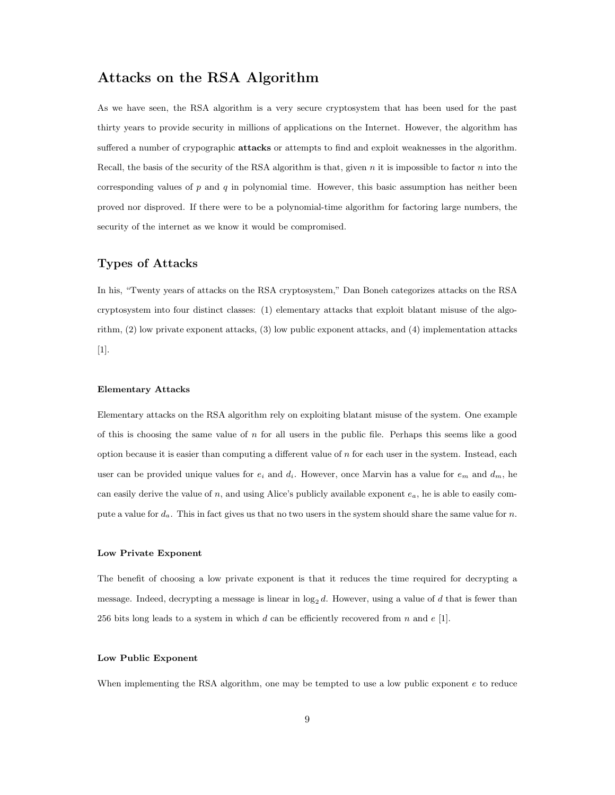## Attacks on the RSA Algorithm

As we have seen, the RSA algorithm is a very secure cryptosystem that has been used for the past thirty years to provide security in millions of applications on the Internet. However, the algorithm has suffered a number of crypographic attacks or attempts to find and exploit weaknesses in the algorithm. Recall, the basis of the security of the RSA algorithm is that, given  $n$  it is impossible to factor  $n$  into the corresponding values of  $p$  and  $q$  in polynomial time. However, this basic assumption has neither been proved nor disproved. If there were to be a polynomial-time algorithm for factoring large numbers, the security of the internet as we know it would be compromised.

### Types of Attacks

In his, "Twenty years of attacks on the RSA cryptosystem," Dan Boneh categorizes attacks on the RSA cryptosystem into four distinct classes: (1) elementary attacks that exploit blatant misuse of the algorithm, (2) low private exponent attacks, (3) low public exponent attacks, and (4) implementation attacks [1].

#### Elementary Attacks

Elementary attacks on the RSA algorithm rely on exploiting blatant misuse of the system. One example of this is choosing the same value of  $n$  for all users in the public file. Perhaps this seems like a good option because it is easier than computing a different value of  $n$  for each user in the system. Instead, each user can be provided unique values for  $e_i$  and  $d_i$ . However, once Marvin has a value for  $e_m$  and  $d_m$ , he can easily derive the value of n, and using Alice's publicly available exponent  $e_a$ , he is able to easily compute a value for  $d_a$ . This in fact gives us that no two users in the system should share the same value for n.

#### Low Private Exponent

The benefit of choosing a low private exponent is that it reduces the time required for decrypting a message. Indeed, decrypting a message is linear in  $log_2 d$ . However, using a value of d that is fewer than 256 bits long leads to a system in which d can be efficiently recovered from n and  $e$  [1].

### Low Public Exponent

When implementing the RSA algorithm, one may be tempted to use a low public exponent e to reduce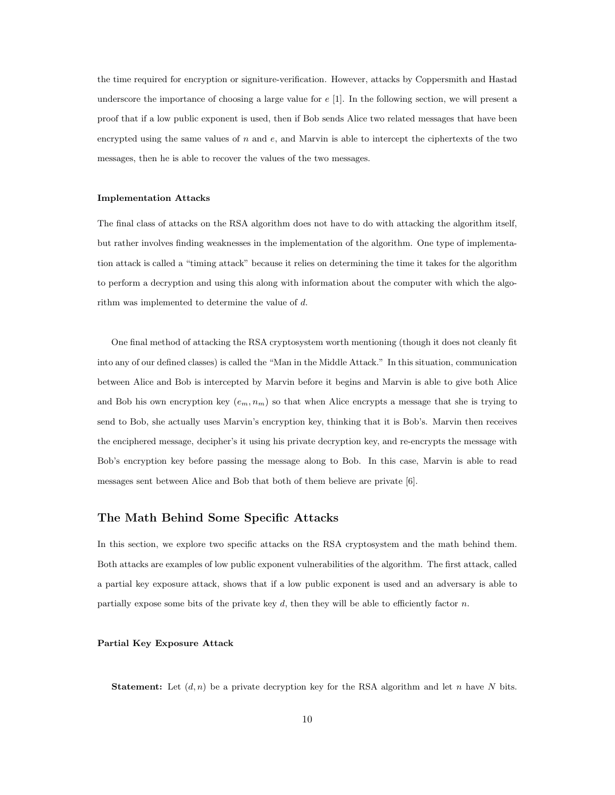the time required for encryption or signiture-verification. However, attacks by Coppersmith and Hastad underscore the importance of choosing a large value for e [1]. In the following section, we will present a proof that if a low public exponent is used, then if Bob sends Alice two related messages that have been encrypted using the same values of  $n$  and  $e$ , and Marvin is able to intercept the ciphertexts of the two messages, then he is able to recover the values of the two messages.

#### Implementation Attacks

The final class of attacks on the RSA algorithm does not have to do with attacking the algorithm itself, but rather involves finding weaknesses in the implementation of the algorithm. One type of implementation attack is called a "timing attack" because it relies on determining the time it takes for the algorithm to perform a decryption and using this along with information about the computer with which the algorithm was implemented to determine the value of d.

One final method of attacking the RSA cryptosystem worth mentioning (though it does not cleanly fit into any of our defined classes) is called the "Man in the Middle Attack." In this situation, communication between Alice and Bob is intercepted by Marvin before it begins and Marvin is able to give both Alice and Bob his own encryption key  $(e_m, n_m)$  so that when Alice encrypts a message that she is trying to send to Bob, she actually uses Marvin's encryption key, thinking that it is Bob's. Marvin then receives the enciphered message, decipher's it using his private decryption key, and re-encrypts the message with Bob's encryption key before passing the message along to Bob. In this case, Marvin is able to read messages sent between Alice and Bob that both of them believe are private [6].

### The Math Behind Some Specific Attacks

In this section, we explore two specific attacks on the RSA cryptosystem and the math behind them. Both attacks are examples of low public exponent vulnerabilities of the algorithm. The first attack, called a partial key exposure attack, shows that if a low public exponent is used and an adversary is able to partially expose some bits of the private key d, then they will be able to efficiently factor n.

#### Partial Key Exposure Attack

**Statement:** Let  $(d, n)$  be a private decryption key for the RSA algorithm and let n have N bits.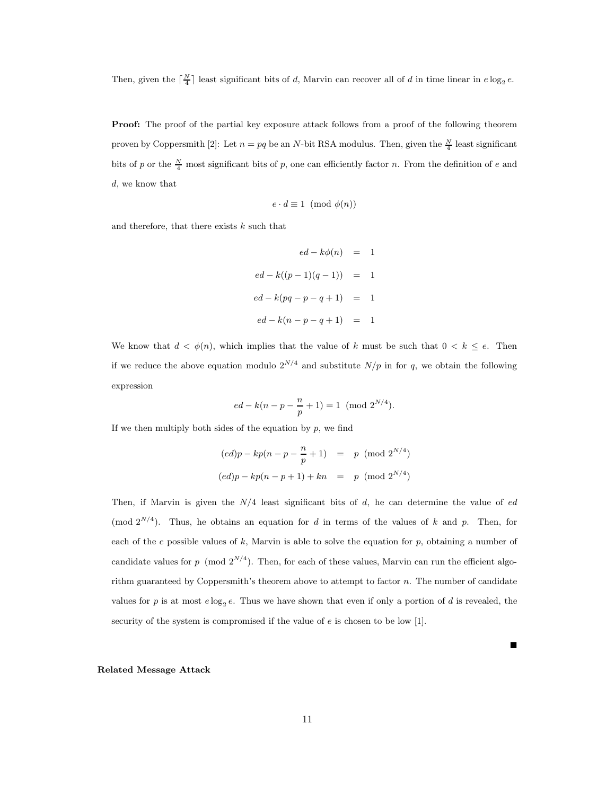Then, given the  $\lceil \frac{N}{4} \rceil$  least significant bits of d, Marvin can recover all of d in time linear in  $e \log_2 e$ .

**Proof:** The proof of the partial key exposure attack follows from a proof of the following theorem proven by Coppersmith [2]: Let  $n = pq$  be an N-bit RSA modulus. Then, given the  $\frac{N}{4}$  least significant bits of p or the  $\frac{N}{4}$  most significant bits of p, one can efficiently factor n. From the definition of e and d, we know that

$$
e \cdot d \equiv 1 \pmod{\phi(n)}
$$

and therefore, that there exists  $k$  such that

$$
ed - k\phi(n) = 1
$$
  

$$
ed - k((p - 1)(q - 1)) = 1
$$
  

$$
ed - k(pq - p - q + 1) = 1
$$
  

$$
ed - k(n - p - q + 1) = 1
$$

We know that  $d < \phi(n)$ , which implies that the value of k must be such that  $0 < k \leq e$ . Then if we reduce the above equation modulo  $2^{N/4}$  and substitute  $N/p$  in for q, we obtain the following expression

$$
ed - k(n - p - \frac{n}{p} + 1) = 1 \pmod{2^{N/4}}.
$$

If we then multiply both sides of the equation by  $p$ , we find

$$
(ed)p - kp(n - p - \frac{n}{p} + 1) = p \pmod{2^{N/4}}
$$
  

$$
(ed)p - kp(n - p + 1) + kn = p \pmod{2^{N/4}}
$$

Then, if Marvin is given the  $N/4$  least significant bits of  $d$ , he can determine the value of  $ed$ (mod  $2^{N/4}$ ). Thus, he obtains an equation for d in terms of the values of k and p. Then, for each of the e possible values of  $k$ , Marvin is able to solve the equation for  $p$ , obtaining a number of candidate values for p (mod  $2^{N/4}$ ). Then, for each of these values, Marvin can run the efficient algorithm guaranteed by Coppersmith's theorem above to attempt to factor  $n$ . The number of candidate values for p is at most  $e \log_2 e$ . Thus we have shown that even if only a portion of d is revealed, the security of the system is compromised if the value of  $e$  is chosen to be low [1].

 $\blacksquare$ 

#### Related Message Attack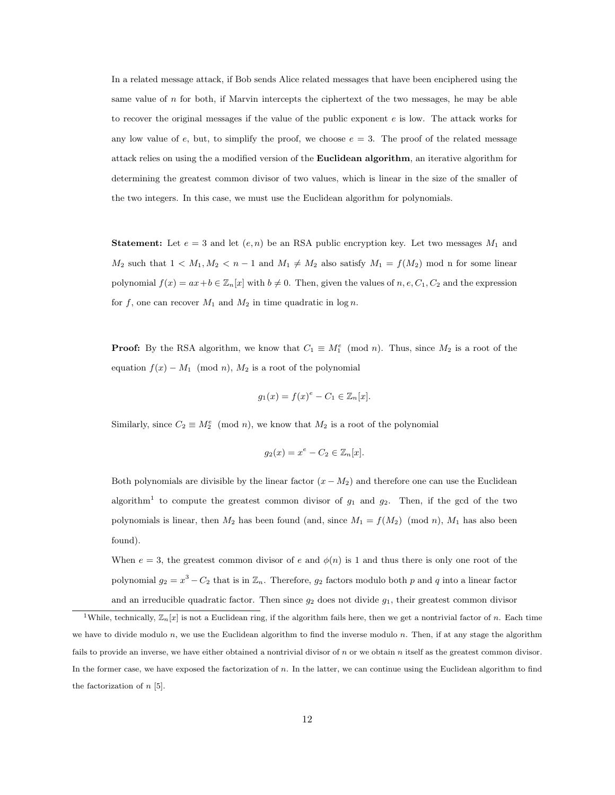In a related message attack, if Bob sends Alice related messages that have been enciphered using the same value of  $n$  for both, if Marvin intercepts the ciphertext of the two messages, he may be able to recover the original messages if the value of the public exponent e is low. The attack works for any low value of e, but, to simplify the proof, we choose  $e = 3$ . The proof of the related message attack relies on using the a modified version of the Euclidean algorithm, an iterative algorithm for determining the greatest common divisor of two values, which is linear in the size of the smaller of the two integers. In this case, we must use the Euclidean algorithm for polynomials.

**Statement:** Let  $e = 3$  and let  $(e, n)$  be an RSA public encryption key. Let two messages  $M_1$  and  $M_2$  such that  $1 < M_1, M_2 < n - 1$  and  $M_1 \neq M_2$  also satisfy  $M_1 = f(M_2)$  mod n for some linear polynomial  $f(x) = ax + b \in \mathbb{Z}_n[x]$  with  $b \neq 0$ . Then, given the values of  $n, e, C_1, C_2$  and the expression for f, one can recover  $M_1$  and  $M_2$  in time quadratic in log n.

**Proof:** By the RSA algorithm, we know that  $C_1 \equiv M_1^e \pmod{n}$ . Thus, since  $M_2$  is a root of the equation  $f(x) - M_1 \pmod{n}$ ,  $M_2$  is a root of the polynomial

$$
g_1(x) = f(x)^e - C_1 \in \mathbb{Z}_n[x].
$$

Similarly, since  $C_2 \equiv M_2^e \pmod{n}$ , we know that  $M_2$  is a root of the polynomial

$$
g_2(x) = x^e - C_2 \in \mathbb{Z}_n[x].
$$

Both polynomials are divisible by the linear factor  $(x - M_2)$  and therefore one can use the Euclidean algorithm<sup>1</sup> to compute the greatest common divisor of  $g_1$  and  $g_2$ . Then, if the gcd of the two polynomials is linear, then  $M_2$  has been found (and, since  $M_1 = f(M_2) \pmod{n}$ ,  $M_1$  has also been found).

When  $e = 3$ , the greatest common divisor of e and  $\phi(n)$  is 1 and thus there is only one root of the polynomial  $g_2 = x^3 - C_2$  that is in  $\mathbb{Z}_n$ . Therefore,  $g_2$  factors modulo both p and q into a linear factor and an irreducible quadratic factor. Then since  $g_2$  does not divide  $g_1$ , their greatest common divisor

<sup>&</sup>lt;sup>1</sup>While, technically,  $\mathbb{Z}_n[x]$  is not a Euclidean ring, if the algorithm fails here, then we get a nontrivial factor of n. Each time we have to divide modulo  $n$ , we use the Euclidean algorithm to find the inverse modulo  $n$ . Then, if at any stage the algorithm fails to provide an inverse, we have either obtained a nontrivial divisor of  $n$  or we obtain  $n$  itself as the greatest common divisor. In the former case, we have exposed the factorization of n. In the latter, we can continue using the Euclidean algorithm to find the factorization of  $n \geq 5$ .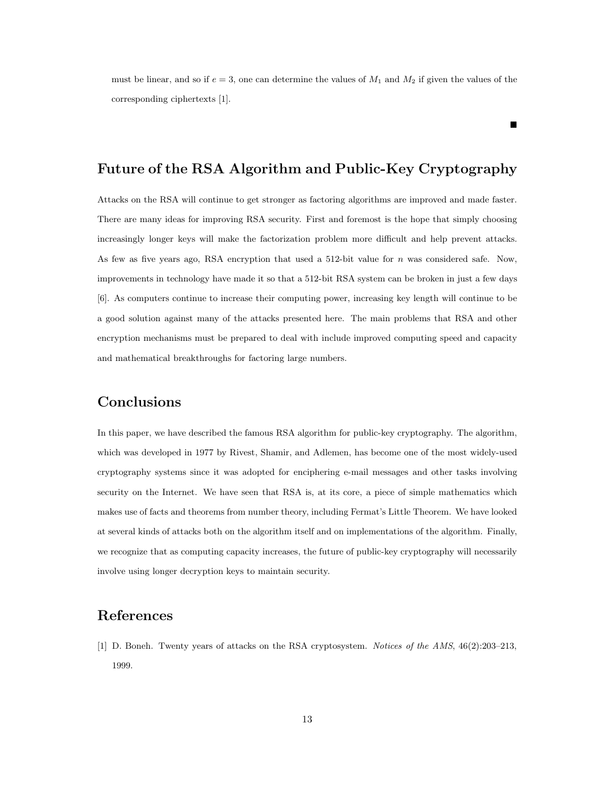must be linear, and so if  $e = 3$ , one can determine the values of  $M_1$  and  $M_2$  if given the values of the corresponding ciphertexts [1].

 $\blacksquare$ 

## Future of the RSA Algorithm and Public-Key Cryptography

Attacks on the RSA will continue to get stronger as factoring algorithms are improved and made faster. There are many ideas for improving RSA security. First and foremost is the hope that simply choosing increasingly longer keys will make the factorization problem more difficult and help prevent attacks. As few as five years ago, RSA encryption that used a 512-bit value for n was considered safe. Now, improvements in technology have made it so that a 512-bit RSA system can be broken in just a few days [6]. As computers continue to increase their computing power, increasing key length will continue to be a good solution against many of the attacks presented here. The main problems that RSA and other encryption mechanisms must be prepared to deal with include improved computing speed and capacity and mathematical breakthroughs for factoring large numbers.

## Conclusions

In this paper, we have described the famous RSA algorithm for public-key cryptography. The algorithm, which was developed in 1977 by Rivest, Shamir, and Adlemen, has become one of the most widely-used cryptography systems since it was adopted for enciphering e-mail messages and other tasks involving security on the Internet. We have seen that RSA is, at its core, a piece of simple mathematics which makes use of facts and theorems from number theory, including Fermat's Little Theorem. We have looked at several kinds of attacks both on the algorithm itself and on implementations of the algorithm. Finally, we recognize that as computing capacity increases, the future of public-key cryptography will necessarily involve using longer decryption keys to maintain security.

## References

[1] D. Boneh. Twenty years of attacks on the RSA cryptosystem. Notices of the AMS, 46(2):203–213, 1999.